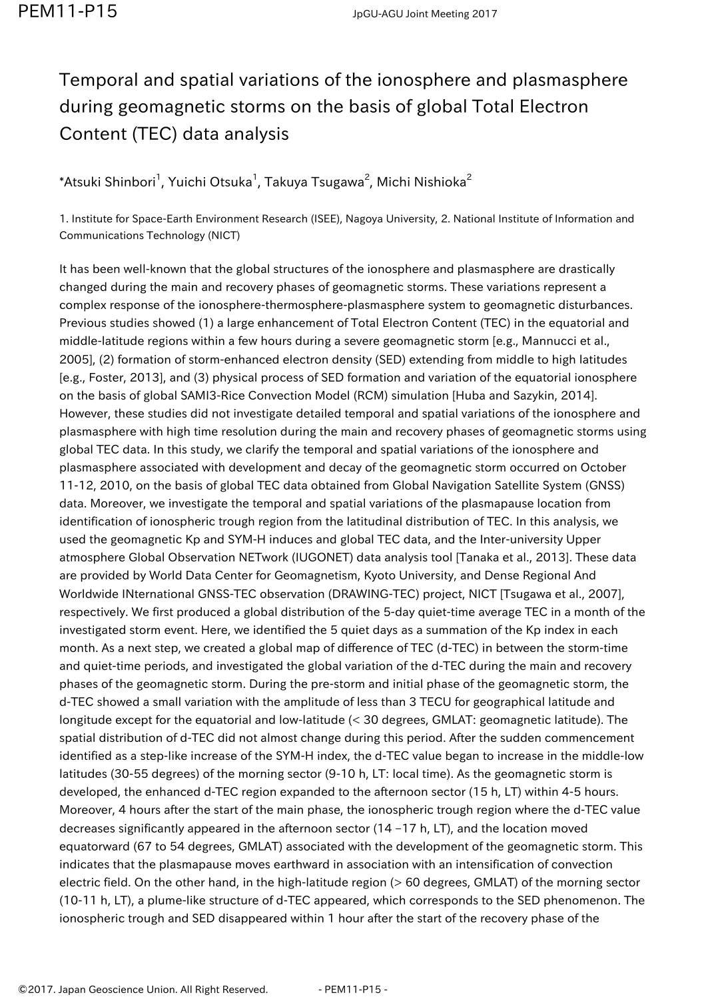## Temporal and spatial variations of the ionosphere and plasmasphere during geomagnetic storms on the basis of global Total Electron Content (TEC) data analysis

 $^*$ Atsuki Shinbori $^1$ , Yuichi Otsuka $^1$ , Takuya Tsugawa $^2$ , Michi Nishioka $^2$ 

1. Institute for Space-Earth Environment Research (ISEE), Nagoya University, 2. National Institute of Information and Communications Technology (NICT)

It has been well-known that the global structures of the ionosphere and plasmasphere are drastically changed during the main and recovery phases of geomagnetic storms. These variations represent a complex response of the ionosphere-thermosphere-plasmasphere system to geomagnetic disturbances. Previous studies showed (1) a large enhancement of Total Electron Content (TEC) in the equatorial and middle-latitude regions within a few hours during a severe geomagnetic storm [e.g., Mannucci et al., 2005], (2) formation of storm-enhanced electron density (SED) extending from middle to high latitudes [e.g., Foster, 2013], and (3) physical process of SED formation and variation of the equatorial ionosphere on the basis of global SAMI3-Rice Convection Model (RCM) simulation [Huba and Sazykin, 2014]. However, these studies did not investigate detailed temporal and spatial variations of the ionosphere and plasmasphere with high time resolution during the main and recovery phases of geomagnetic storms using global TEC data. In this study, we clarify the temporal and spatial variations of the ionosphere and plasmasphere associated with development and decay of the geomagnetic storm occurred on October 11-12, 2010, on the basis of global TEC data obtained from Global Navigation Satellite System (GNSS) data. Moreover, we investigate the temporal and spatial variations of the plasmapause location from identification of ionospheric trough region from the latitudinal distribution of TEC. In this analysis, we used the geomagnetic Kp and SYM-H induces and global TEC data, and the Inter-university Upper atmosphere Global Observation NETwork (IUGONET) data analysis tool [Tanaka et al., 2013]. These data are provided by World Data Center for Geomagnetism, Kyoto University, and Dense Regional And Worldwide INternational GNSS-TEC observation (DRAWING-TEC) project, NICT [Tsugawa et al., 2007], respectively. We first produced a global distribution of the 5-day quiet-time average TEC in a month of the investigated storm event. Here, we identified the 5 quiet days as a summation of the Kp index in each month. As a next step, we created a global map of difference of TEC (d-TEC) in between the storm-time and quiet-time periods, and investigated the global variation of the d-TEC during the main and recovery phases of the geomagnetic storm. During the pre-storm and initial phase of the geomagnetic storm, the d-TEC showed a small variation with the amplitude of less than 3 TECU for geographical latitude and longitude except for the equatorial and low-latitude (< 30 degrees, GMLAT: geomagnetic latitude). The spatial distribution of d-TEC did not almost change during this period. After the sudden commencement identified as a step-like increase of the SYM-H index, the d-TEC value began to increase in the middle-low latitudes (30-55 degrees) of the morning sector (9-10 h, LT: local time). As the geomagnetic storm is developed, the enhanced d-TEC region expanded to the afternoon sector (15 h, LT) within 4-5 hours. Moreover, 4 hours after the start of the main phase, the ionospheric trough region where the d-TEC value decreases significantly appeared in the afternoon sector (14 –17 h, LT), and the location moved equatorward (67 to 54 degrees, GMLAT) associated with the development of the geomagnetic storm. This indicates that the plasmapause moves earthward in association with an intensification of convection electric field. On the other hand, in the high-latitude region (> 60 degrees, GMLAT) of the morning sector (10-11 h, LT), a plume-like structure of d-TEC appeared, which corresponds to the SED phenomenon. The ionospheric trough and SED disappeared within 1 hour after the start of the recovery phase of the